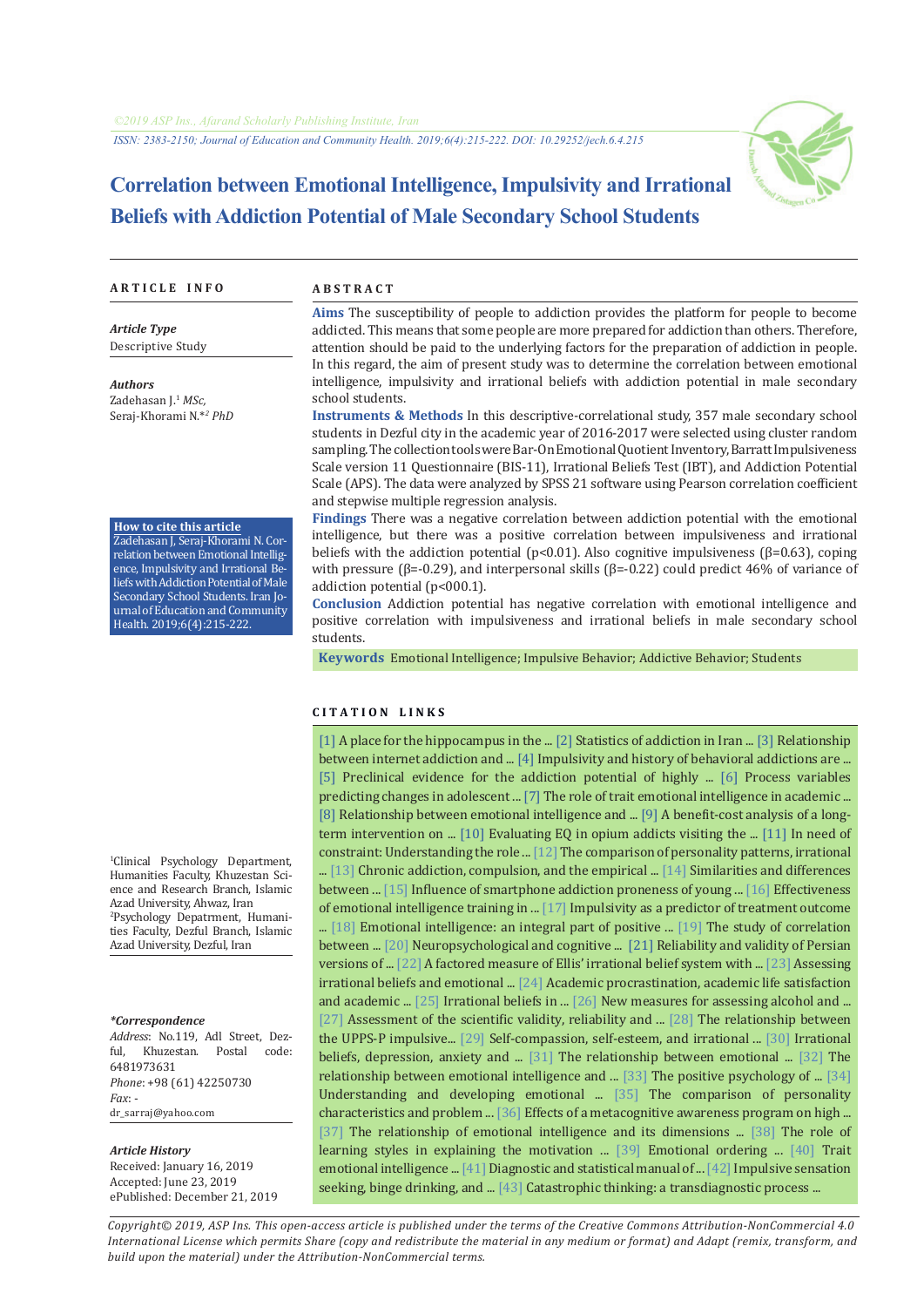

# **Correlation between Emotional Intelligence, Impulsivity and Irrational Beliefs with Addiction Potential of Male Secondary School Students**

#### **A R T I C L E I N F O A B S T R A C T**

*Article Type* Descriptive Study

Zadehasan J.1 *MSc,* Seraj-Khorami N.\**<sup>2</sup> PhD*

**How to cite this article** Zadehasan J, Seraj-Khorami N. Correlation between Emotional Intelligence, Impulsivity and Irrational Beliefs with Addiction Potential of Male Secondary School Students. Iran Journal of Education and Community Health. 2019;6(4):215-222.

*Authors*

**Aims** The susceptibility of people to addiction provides the platform for people to become addicted. This means that some people are more prepared for addiction than others. Therefore, attention should be paid to the underlying factors for the preparation of addiction in people. In this regard, the aim of present study was to determine the correlation between emotional intelligence, impulsivity and irrational beliefs with addiction potential in male secondary school students.

**Instruments & Methods** In this descriptive-correlational study, 357 male secondary school students in Dezful city in the academic year of 2016-2017 were selected using cluster random sampling. The collection tools were Bar-On Emotional Quotient Inventory, Barratt Impulsiveness Scale version 11 Questionnaire (BIS-11), Irrational Beliefs Test (IBT), and Addiction Potential Scale (APS). The data were analyzed by SPSS 21 software using Pearson correlation coefficient and stepwise multiple regression analysis.

**Findings** There was a negative correlation between addiction potential with the emotional intelligence, but there was a positive correlation between impulsiveness and irrational beliefs with the addiction potential ( $p<0.01$ ). Also cognitive impulsiveness ( $\beta$ =0.63), coping with pressure (β=-0.29), and interpersonal skills (β=-0.22) could predict 46% of variance of addiction potential (p<000.1).

**Conclusion** Addiction potential has negative correlation with emotional intelligence and positive correlation with impulsiveness and irrational beliefs in male secondary school students.

 **Keywords** [Emotional Intelligence;](https://www.ncbi.nlm.nih.gov/mesh/68056348) [Impulsive Behavior;](https://www.ncbi.nlm.nih.gov/mesh/68007175) [Addictive Behavior;](https://www.ncbi.nlm.nih.gov/mesh/68016739) [Students](https://www.ncbi.nlm.nih.gov/mesh/68013334)

#### **C I T A T I O N L I N K S**

[[1\]](https://www.ncbi.nlm.nih.gov/pubmed/27118134) A place for the hippocampus in the ... [\[2](http://www.razijournal.com/serial.aspx?id=297)] Statistics of addiction in Iran ... [\[3\]](http://jech.umsha.ac.ir/article-1-402-fa.html) Relationship between internet addiction and ... [[4](https://www.ncbi.nlm.nih.gov/pubmed/28570913)] Impulsivity and history of behavioral addictions are ... [[5\]](https://www.ncbi.nlm.nih.gov/pubmed/27989563) Preclinical evidence for the addiction potential of highly ... [[6\]](https://www.ncbi.nlm.nih.gov/pubmed/28692954) Process variables predicting changes in adolescent ... [[7\]](https://www.sciencedirect.com/science/article/abs/pii/S0191886903000849) The role of trait emotional intelligence in academic ... [[8\]](http://jech.umsha.ac.ir/article-1-45-fa.html) Relationship between emotional intelligence and ... [\[9](https://bit.ly/2EePG1I)] A benefit-cost analysis of a long-term intervention on ... [[10](http://hbrj.kmu.ac.ir/article-1-53-fa.html)] Evaluating EQ in opium addicts visiting the ... [\[11](https://www.ncbi.nlm.nih.gov/pubmed/27989844)] In need of constraint: Understanding the role ... [[12\]](http://etiadpajohi.ir/article-1-54-fa.html) The comparison of personality patterns, irrational ... [\[13\]](https://bit.ly/35cmraF) Chronic addiction, compulsion, and the empirical ... [[14\]](https://connect.springerpub.com/content/sgrjcp/17/3/225) Similarities and differences between ... [\[15](https://www.sciencedirect.com/science/article/pii/S0747563216306987)] Influence of smartphone addiction proneness of young ... [[16\]](http://etiadpajohi.ir/article-1-761-fa.html) Effectiveness of emotional intelligence training in ... [[17\]](https://www.ncbi.nlm.nih.gov/pubmed/24684591) Impulsivity as a predictor of treatment outcome ... [[18\]](https://www.researchgate.net/publication/228373303) Emotional intelligence: an integral part of positive ... [[19\]](https://www.sid.ir/fa/journal/ViewPaper.aspx?id=74582) The study of correlation between ... [[20\]](https://www.ncbi.nlm.nih.gov/pubmed/9129785) Neuropsychological and cognitive ... [\[21](http://ijpcp.iums.ac.ir/article-1-575-fa.html)] Reliability and validity of Persian versions of ... [\[22\]](https://ttu-ir.tdl.org/handle/2346/18941) A factored measure of Ellis' irrational belief system with ... [\[23\]](https://psycnet.apa.org/record/1987-17598-001) Assessing irrational beliefs and emotional ... [\[24](https://www.researchgate.net/publication/236173872)] Academic procrastination, academic life satisfaction and academic ... [[25\]](https://psycnet.apa.org/record/1978-27524-001) Irrational beliefs in ... [\[26\]](https://www.ncbi.nlm.nih.gov/pubmed/1315859) New measures for assessing alcohol and ... [[27](http://etiadpajohi.ir/article-1-482-fa.html)] Assessment of the scientific validity, reliability and ... [\[28](https://www.ncbi.nlm.nih.gov/pubmed/28709080)] The relationship between the UPPS-P impulsive... [[29\]](https://link.springer.com/article/10.1007/s12144-017-9563-2) Self-compassion, self-esteem, and irrational ... [[30\]](http://hub.hku.hk/handle/10722/225100) Irrational beliefs, depression, anxiety and ... [[31\]](https://bit.ly/2qOwZyJ) The relationship between emotional ... [[32\]](https://ganj-old.irandoc.ac.ir/articles/657774) The relationship between emotional intelligence and ... [\[33](https://psycnet.apa.org/record/2002-02382-012)] The positive psychology of ... [[34\]](https://link.springer.com/chapter/10.1007/978-981-10-0983-9_37) Understanding and developing emotional ... [[35\]](http://etiadpajohi.ir/article-1-345-fa.html) The comparison of personality characteristics and problem ... [\[36](https://jcp.khu.ac.ir/article-1-2622-fa.html)] Effects of a metacognitive awareness program on high ... [[37](http://jhosp.tums.ac.ir/article-1-5520-fa.html)] The relationship of emotional intelligence and its dimensions ... [\[38\]](https://asj.basu.ac.ir/article_1022.html) The role of learning styles in explaining the motivation ... [\[39](http://centlib.iums.ac.ir:8800/site/catalogue/225554)] Emotional ordering ... [\[40](https://bit.ly/2ZL50gF)] Trait emotional intelligence ... [[41\]](http://opac.nlai.ir/opac-prod/bibliographic/3623468) Diagnostic and statistical manual of ... [[42\]](https://www.ncbi.nlm.nih.gov/pubmed/27533076) Impulsive sensation seeking, binge drinking, and ... [\[43](https://link.springer.com/article/10.1007/s10608-016-9763-3)] Catastrophic thinking: a transdiagnostic process ...

1 Clinical Psychology Department, Humanities Faculty, Khuzestan Science and Research Branch, Islamic Azad University, Ahwaz, Iran 2 Psychology Depatrment, Humanities Faculty, Dezful Branch, Islamic Azad University, Dezful, Iran

#### *\*Correspondence*

*Address*: No.119, Adl Street, Dezful, Khuzestan. 6481973631 *Phone*: +98 (61) 42250730 *Fax*: dr\_sarraj@yahoo.com

#### *Article History*

Received: January 16, 2019 Accepted: June 23, 2019 ePublished: December 21, 2019

*Copyright© 2019, ASP Ins. This open-access article is published under the terms of the Creative Commons Attribution-NonCommercial 4.0 International License which permits Share (copy and redistribute the material in any medium or format) and Adapt (remix, transform, and build upon the material) under the Attribution-NonCommercial terms.*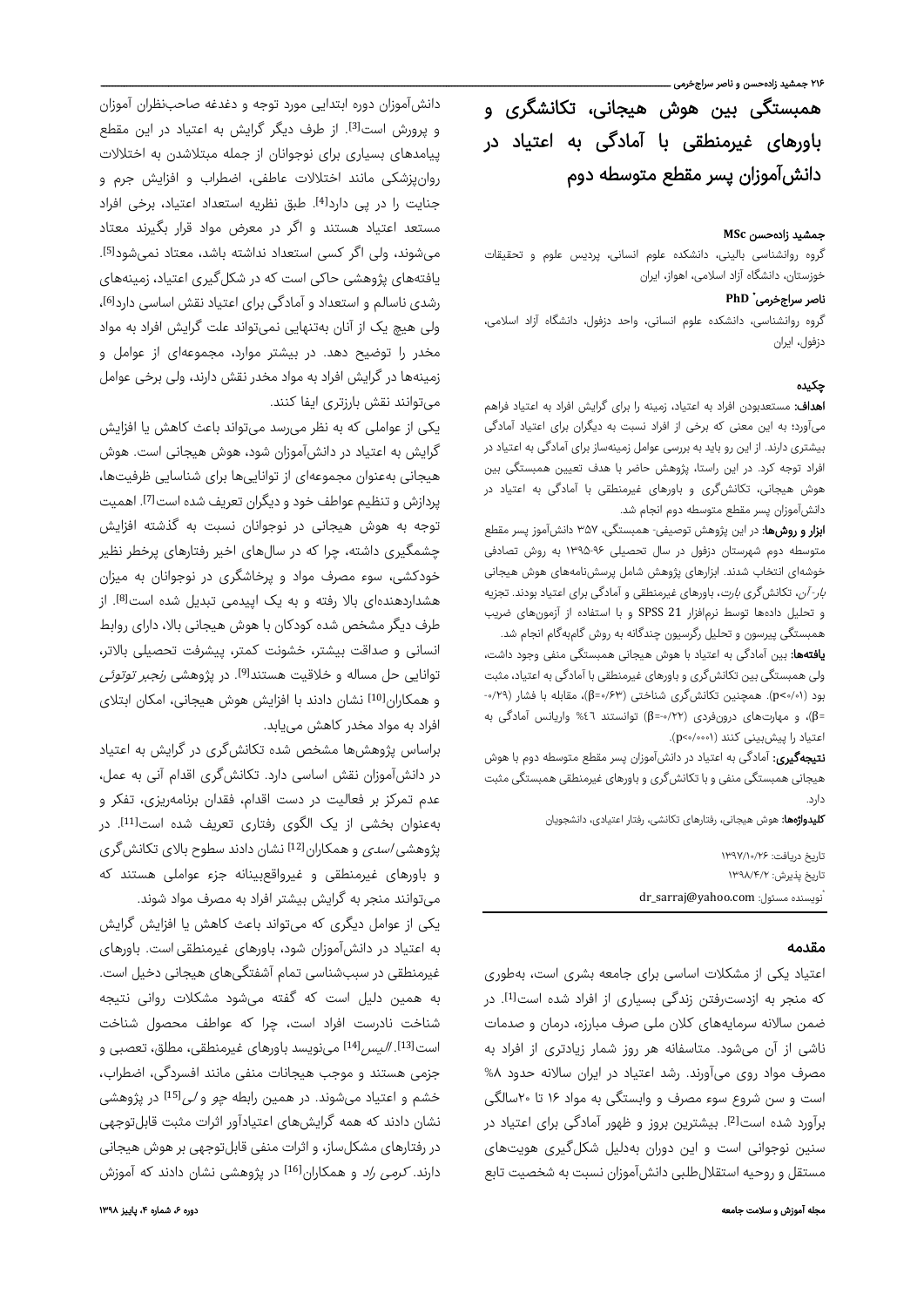.<br>۲۱۶ جمشید زادهحسن و ناصر سراجخرمی ـ

همبستگی بین هوش هیجانی، تکانشگری و باورهای غیرمنطقی با آمادگی به اعتیاد در دانشآموزان پسر مقطع متوسطه دوم

#### جمشید زادهحسن **MSc**

گروه روانشناسی بالینی، دانشکده علوم انسانی، پردیس علوم و تحقیقات خوزستان، دانشگاه آزاد اسلامی، اهواز، ایران

# **PhD** \* ناصر سراجخرمی

گروه روانشناسی، دانشکده علوم انسانی، واحد دزفول، دانشگاه آزاد اسلامی، دزفول، ایران

### چکیده

اهداف: مستعدبودن افراد به اعتیاد، زمینه را برای گرایش افراد به اعتیاد فراهم میآورد؛ به این معنی که برخی از افراد نسبت به دیگران برای اعتیاد آمادگی بیشتری دارند. از این رو باید به بررسی عوامل زمینهساز برای آمادگی به اعتیاد در افراد توجه کرد. در این راستا، پژوهش حاضر با هدف تعیین همبستگی بین هوش هیجانی، تکانشگری و باورهای غیرمنطقی با آمادگی به اعتیاد در دانشآموزان پسر مقطع متوسطه دوم انجام شد.

ا**بزار و روشها:** در این پژوهش توصیفی- همبستگی، ۳۵۷ دانشآموز پسر مقطع متوسطه دوم شهرستان دزفول در سال تحصیلی ۱۳۹۵-۹۶ به روش تصادفی خوشهای انتخاب شدند. ابزارهای پژوهش شامل پرسشنامههای هوش هیجانی ب*ار- آن*، تکانش گری *بارت*، باورهای غیرمنطقی و آمادگی برای اعتیاد بودند. تجزیه و تحلیل دادهها توسط نرمافزار 21 SPSS و با استفاده از آزمونهای ضریب همبستگی پیرسون و تحلیل رگرسیون چندگانه به روش گامبهگام انجام شد.

**یافتهها:** بین آمادگی به اعتیاد با هوش هیجانی همبستگی منفی وجود داشت، ولی همبستگی بین تکانشگری و باورهای غیرمنطقی با آمادگی به اعتیاد، مثبت بود (۰/۰۱>p(. همچنین تکانشگری شناختی (۰/۶۳=β(، مقابله با فشار (-۰/۲۹ =β)، و مهارتهای درونفردی (۰/۲۲-=β) توانستند ٤٦% واریانس آمادگی به اعتیاد را پیشبینی کنند (۰/۰۰۰۱>p(.

**نتیجهگیری:** آمادگی به اعتیاد در دانش آموزان پسر مقطع متوسطه دوم با هوش هیجانی همبستگی منفی و با تکانشگری و باورهای غیرمنطقی همبستگی مثبت دارد.

کلیدواژهها: هوش هیجانی، رفتارهای تکانشی، رفتار اعتیادی، دانشجویان

| ناريخ دريافت: ۱۳۹۷/۱۰/۲۶           | پژو             |
|------------------------------------|-----------------|
| ناریخ یذیرش: ۱۳۹۸/۴/۲              | و ڊ             |
| dr_sarraj@yahoo.com :نویسنده مسئول | مۍ <sub>)</sub> |

### مقدمه

اعتیاد یکی از مشکلات اساسی برای جامعه بشری است، بهطوری که منجر به ازدسترفتن زندگی بسیاری از افراد شده است<sup>[1]</sup>. در ضمن سالانه سرمایههای کلان ملی صرف مبارزه، درمان و صدمات ناشی از آن میشود. متاسفانه هر روز شمار زیادتری از افراد به مصرف مواد روی میآورند. رشد اعتیاد در ایران سالانه حدود %۸ است و سن شروع سوء مصرف و وابستگی به مواد ۱۶ تا ۲۰سالگی برآورد شده است<sup>[2]</sup>. بیشترین بروز و ظهور آمادگی برای اعتیاد در سنین نوجوانی است و این دوران بهدلیل شکلگیری هویتهای مستقل و روحیه استقلالطلبی دانشآموزان نسبت به شخصیت تابع

دانشآموزان دوره ابتدایی مورد توجه و دغدغه صاحبنظران آموزان و پرورش است<sup>[3]</sup>. از طرف دیگر گرایش به اعتیاد در این مقطع پیامدهای بسیاری برای نوجوانان از جمله مبتلاشدن به اختلالات روانپزشکی مانند اختلالات عاطفی، اضطراب و افزایش جرم و جنایت را در پی دارد[4]. طبق نظریه استعداد اعتیاد، برخی افراد مستعد اعتیاد هستند و اگر در معرض مواد قرار بگیرند معتاد . [5] میشوند، ولی اگر کسی استعداد نداشته باشد، معتاد نمیشود یافتههای پژوهشی حاکی است که در شکلگیری اعتیاد، زمینههای رشدی ناسالم و استعداد و آمادگی برای اعتیاد نقش اساسی دارد<sup>[6]</sup>، ولی هیچ یک از آنان بهتنهایی نمیتواند علت گرایش افراد به مواد مخدر را توضیح دهد. در بیشتر موارد، مجموعهای از عوامل و زمینهها در گرایش افراد به مواد مخدر نقش دارند، ولی برخی عوامل میتوانند نقش بارزتری ایفا کنند.

یکی از عواملی که به نظر میرسد میتواند باعث کاهش یا افزایش گرایش به اعتیاد در دانشآموزان شود، هوش هیجانی است. هوش هیجانی بهعنوان مجموعهای از تواناییها برای شناسایی ظرفیتها، یردازش و تنظیم عواطف خود و دیگران تعریف شده است<sup>71</sup>]. اهمیت توجه به هوش هیجانی در نوجوانان نسبت به گذشته افزایش چشمگیری داشته، چرا که در سالهای اخیر رفتارهای پرخطر نظیر خودکشی، سوء مصرف مواد و پرخاشگری در نوجوانان به میزان هشداردهندهای بالا رفته و به یک اپیدمی تبدیل شده است[8]. از طرف دیگر مشخص شده کودکان با هوش هیجانی بالا، دارای روابط انسانی و صداقت بیشتر، خشونت کمتر، پیشرفت تحصیلی بالاتر، توانایی حل مساله و خلاقیت هستند<sup>[9]</sup>. در پژوهشی *رنجبر توتوئی* و همکاران<sup>[10]</sup> نشان دادند با افزایش هوش هیجانی، امکان ابتلای افراد به مواد مخدر کاهش مییابد.

براساس پژوهشها مشخص شده تکانشگری در گرایش به اعتیاد در دانشآموزان نقش اساسی دارد. تکانشگری اقدام آنی به عمل، عدم تمرکز بر فعالیت در دست اقدام، فقدان برنامهریزی، تفکر و بهعنوان بخشی از یک الگوی رفتاری تعریف شده است<sup>[11]</sup>. در هشی *اسدی* و همکاران<sup>[12]</sup> نشان دادند سطوح بالای تکانش *گ*ری و باورهای غیرمنطقی و غیرواقعبینانه جزء عواملی هستند که میتوانند منجر به گرایش بیشتر افراد به مصرف مواد شوند.

یکی از عوامل دیگری که میتواند باعث کاهش یا افزایش گرایش به اعتیاد در دانشآموزان شود، باورهای غیرمنطقیاست. باورهای غیرمنطقی در سببشناسی تمام آشفتگیهای هیجانی دخیل است. به همین دلیل است که گفته میشود مشکلات روانی نتیجه شناخت نادرست افراد است، چرا که عواطف محصول شناخت است<sup>[13]</sup>. *الیس*<sup>[14]</sup> مینویسد باورهای غیرمنطقی، مطلق، تعصبی و جزمی هستند و موجب هیجانات منفی مانند افسردگی، اضطراب، خشم و اعتیاد میشوند. در همین رابطه چو و لی[15] در پژوهشی نشان دادند که همه گرایشهای اعتیادآور اثرات مثبت قابلتوجهی در رفتارهای مشکلساز، و اثرات منفی قابلتوجهی بر هوش هیجانی دارند. *کرمی راد* و همکاران<sup>[16]</sup> در پژوهشی نشان دادند که آموزش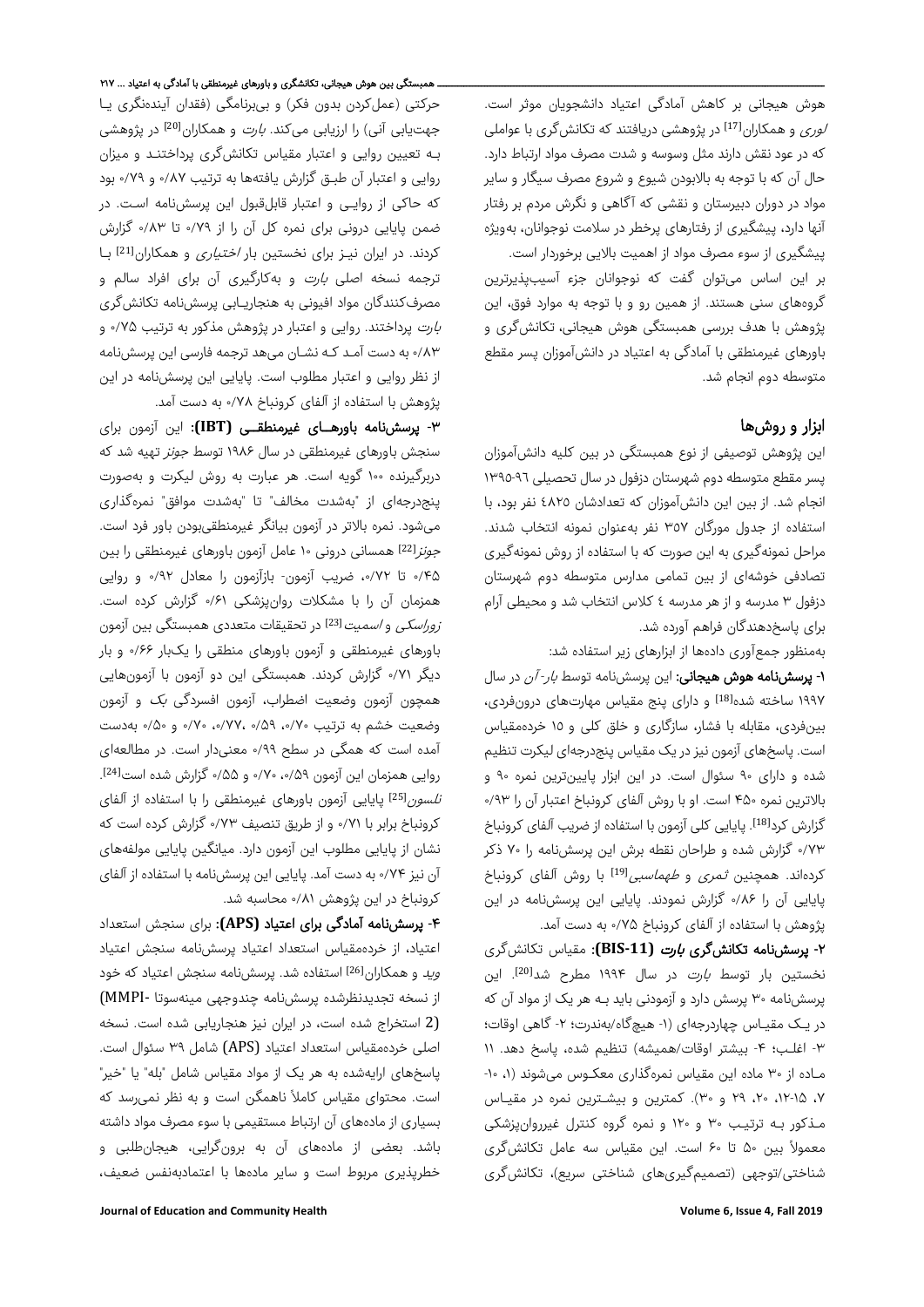هوش هیجانی بر کاهش آمادگی اعتیاد دانشجویان موثر است. د*وری* و همکاران<sup>[17]</sup> در پژوهشی دریافتند که تکانشگری با عواملی که در عود نقش دارند مثل وسوسه و شدت مصرف مواد ارتباط دارد. حال آن که با توجه به بالابودن شیوع و شروع مصرف سیگار و سایر مواد در دوران دبیرستان و نقشی که آگاهی و نگرش مردم بر رفتار آنها دارد، پیشگیری از رفتارهای پرخطر در سلامت نوجوانان، بهویژه پیشگیری از سوء مصرف مواد از اهمیت بالایی برخوردار است. بر این اساس میتوان گفت که نوجوانان جزء آسیبپذیرترین

گروههای سنی هستند. از همین رو و با توجه به موارد فوق، این پژوهش با هدف بررسی همبستگی هوش هیجانی، تکانشگری و باورهای غیرمنطقی با آمادگی به اعتیاد در دانشآموزان پسر مقطع متوسطه دوم انجام شد.

# ابزار و روشها

این پژوهش توصیفی از نوع همبستگی در بین کلیه دانشآموزان پسر مقطع متوسطه دوم شهرستان دزفول در سال تحصیلی ١٣٩٥-٩٦ انجام شد. از بین این دانشآموزان که تعدادشان ٤٨٢٥ نفر بود، با استفاده از جدول مورگان ٣٥٧ نفر بهعنوان نمونه انتخاب شدند. مراحل نمونهگیری به این صورت که با استفاده از روش نمونهگیری تصادفی خوشهای از بین تمامی مدارس متوسطه دوم شهرستان دزفول ٣ مدرسه و از هر مدرسه ٤ کلاس انتخاب شد و محیطی آرام برای پاسخدهندگان فراهم آورده شد.

بهمنظور جمعآوری دادهها از ابزارهای زیر استفاده شد:

-۱ پرسشنامه هوش هیجانی: این پرسشنامه توسط بار- آن در سال ۱۹۹۷ ساخته شده[18] و دارای پنج مقیاس مهارتهای درونفردی، بینفردی، مقابله با فشار، سازگاری و خلق کلی و ١٥ خردهمقیاس است. پاسخهای آزمون نیز در یک مقیاس پنجدرجهای لیکرت تنظیم شده و دارای ۹۰ سئوال است. در این ابزار پایینترین نمره ۹۰ و بالاترین نمره ۴۵۰ است. او با روش آلفای کرونباخ اعتبار آن را ۰/۹۳ گزارش کرد<sup>[18]</sup>. پایایی کلی آزمون با استفاده از ضریب آلفای کرونباخ ۰/۷۳ گزارش شده و طراحان نقطه برش این پرسشنامه را ۷۰ ذکر کردهاند. همچنین *ثمری و طهماسبی<sup>[19]</sup> ب*ا روش آلفای کرونباخ پایایی آن را ۰/۸۶ گزارش نمودند. پایایی این پرسشنامه در این پژوهش با استفاده از آلفای کرونباخ ۰/۷۵ به دست آمد.

-۲ پرسشنامه تکانشگری بارت **(11‐BIS(**: مقیاس تکانشگری نخستین بار توسط *بارت* در سال ۱۹۹۴ مطرح شد<sup>[20]</sup>. این پرسشنامه ۳۰ پرسش دارد و آزمودنی باید بـه هر یک از مواد آن که در یـک مقیـاس چهاردرجهای (-۱ هیچگاه/بهندرت؛ -۲ گاهی اوقات؛ -۳ اغلـب؛ -۴ بیشتر اوقات/همیشه) تنظیم شده، پاسخ دهد. ۱۱ مـاده از ۳۰ ماده این مقیاس نمرهگذاری معکـوس میشوند (،۱ -۱۰ ،۷ ،۱۲-۱۵ ،۲۰ ۲۹ و ۳۰). کمترین و بیشـترین نمره در مقیـاس مـذکور بـه ترتیـب ۳۰ و ۱۲۰ و نمره گروه کنترل غیرروانپزشکی ً بین ۵۰ تا ۶۰ است. این مقیاس سه عامل تکانشگری معمولا شناختی/توجهی (تصمیمگیریهای شناختی سریع)، تکانشگری

حرکتی (عملکردن بدون فکر) و بیبرنامگی (فقدان آیندهنگری یـا جهتیابی آنی) را ارزیابی میکند. *بارت* و همکاران<sup>[20]</sup> در پژوهشی بـه تعیین روایی و اعتبار مقیاس تکانشگری پرداختنـد و میزان روایی و اعتبار آن طبـق گزارش یافتهها به ترتیب ۰/۸۷ و ۰/۷۹ بود که حاکی از روایـی و اعتبار قابلقبول این پرسشنامه اسـت. در ضمن پایایی درونی برای نمره کل آن را از ۰/۷۹ تا ۰/۸۳ گزارش کردند. در ایران نیـز برای نخستین بار *اختیاری* و همکاران<sup>[21]</sup> بـا ترجمه نسخه اصلی بارت و بهکارگیری آن برای افراد سالم و مصرفکنندگان مواد افیونی به هنجاریـابی پرسشنامه تکانشگری بارت پرداختند. روایی و اعتبار در پژوهش مذکور به ترتیب ۰/۷۵ و ۰/۸۳ به دست آمـد کـه نشـان میهد ترجمه فارسی این پرسشنامه از نظر روایی و اعتبار مطلوب است. پایایی این پرسشنامه در این پژوهش با استفاده از آلفای کرونباخ ٠/٧٨ به دست آمد.

-۳ پرسشنامه باورهــای غیرمنطقــی **(IBT(**: این آزمون برای سنجش باورهای غیرمنطقی در سال ۱۹۸۶ توسط جونز تهیه شد که دربرگیرنده ۱۰۰ گویه است. هر عبارت به روش لیکرت و بهصورت پنجدرجهای از "بهشدت مخالف" تا "بهشدت موافق" نمرهگذاری میشود. نمره بالاتر در آزمون بیانگر غیرمنطقیبودن باور فرد است. جونز[22] همسانی درونی ۱۰ عامل آزمون باورهای غیرمنطقی را بین ۰/۴۵ تا ،۰/۷۲ ضریب آزمون- بازآزمون را معادل ۰/۹۲ و روایی همزمان آن را با مشکلات روانپزشکی ۰/۶۱ گزارش کرده است. *زوراسکی* و *اسمیت*<sup>[23]</sup> در تحقیقات متعددی همبستگی بین آزمون باورهای غیرمنطقی و آزمون باورهای منطقی را یکبار ۰/۶۶ و بار دیگر ۰/۷۱ گزارش کردند. همبستگی این دو آزمون با آزمونهایی همچون آزمون وضعیت اضطراب، آزمون افسردگی بک و آزمون وضعیت خشم به ترتیب ،۰/۷۰ ۰/۵۹ ،۰/۷۷، ۰/۷۰ و ۰/۵۰ بهدست آمده است که همگی در سطح ۰/۹۹ معنیدار است. در مطالعهای [24] روایی همزمان این آزمون ،۰/۵۹ ۰/۷۰ و ۰/۵۵ گزارش شده است . *تلسون*<sup>[25]</sup> پایایی آزمون باورهای غیرمنطقی را با استفاده از آلفای کرونباخ برابر با ۰/۷۱ و از طریق تنصیف ۰/۷۳ گزارش کرده است که نشان از پایایی مطلوب این آزمون دارد. میانگین پایایی مولفههای آن نیز ۰/۷۴ به دست آمد. پایایی این پرسشنامه با استفاده از آلفای کرونباخ در این پژوهش ۰/۸۱ محاسبه شد.

-۴ پرسشنامه آمادگی برای اعتیاد **(APS(**: برای سنجش استعداد اعتیاد، از خردهمقیاس استعداد اعتیاد پرسشنامه سنجش اعتیاد و*ید* و همکاران<sup>[26]</sup> استفاده شد. پرسشنامه سنجش اعتیاد که خود از نسخه تجدیدنظرشده پرسشنامه چندوجهی مینهسوتا ‐MMPI( (2 استخراج شده است، در ایران نیز هنجاریابی شده است. نسخه اصلی خردهمقیاس استعداد اعتیاد (APS (شامل ٣٩ سئوال است. پاسخهای ارایهشده به هر یک از مواد مقیاس شامل "بله" یا "خیر" است. محتوای مقیاس کاملاً ناهمگن است و به نظر نمیرسد که بسیاری از مادههای آن ارتباط مستقیمی با سوء مصرف مواد داشته باشد. بعضی از مادههای آن به برونگرایی، هیجانطلبی و خطرپذیری مربوط است و سایر مادهها با اعتمادبهنفس ضعیف،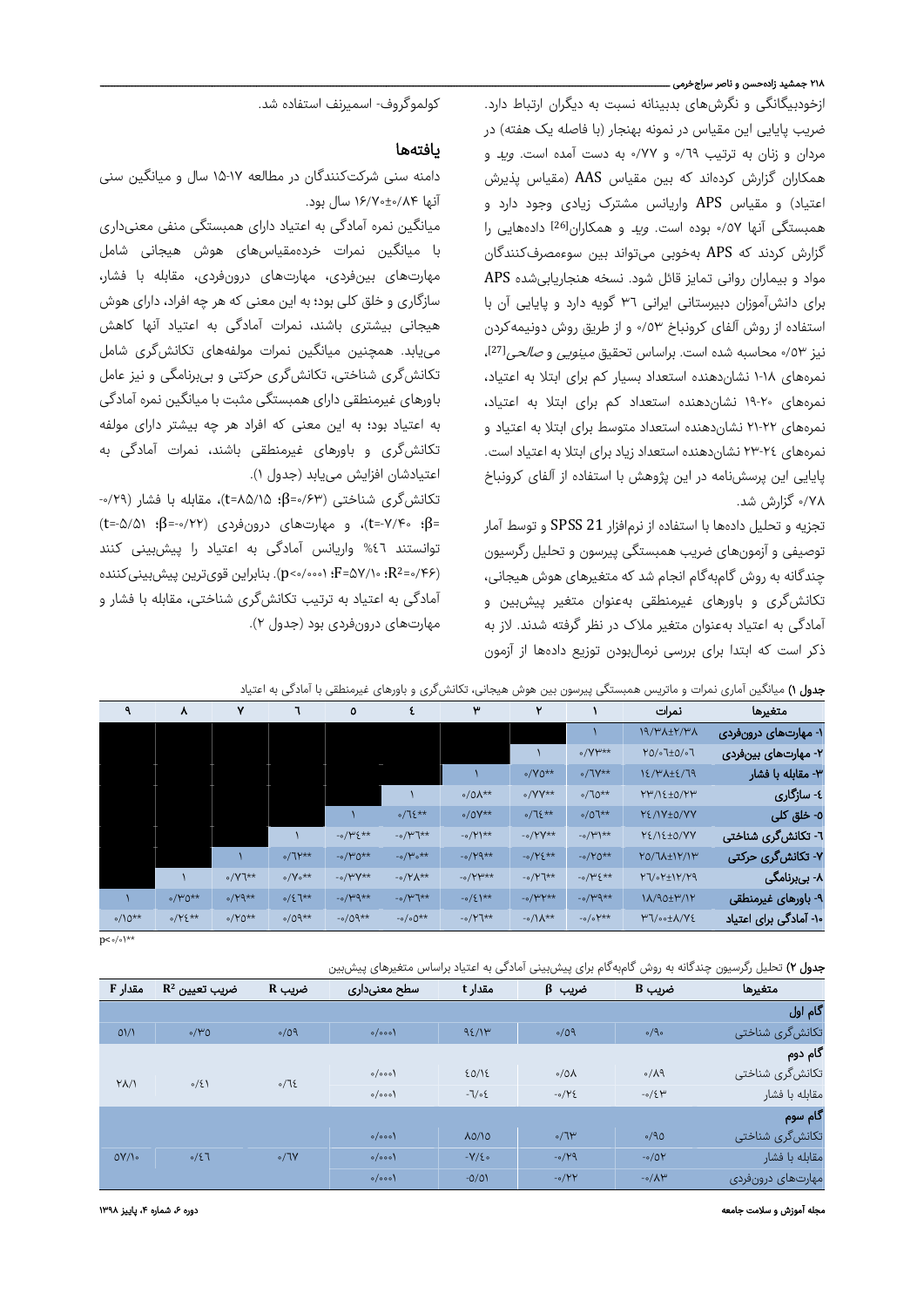## .<br>۲۱۸ جمشید زادهحسن و ناصر سراجخرمی ـ

ازخودبیگانگی و نگرشهای بدبینانه نسبت به دیگران ارتباط دارد. ضریب پایایی این مقیاس در نمونه بهنجار (با فاصله یک هفته) در مردان و زنان به ترتیب ٦٩/٠ و ٧٧/٠ به دست آمده است. *وید* و همکاران گزارش کردهاند که بین مقیاس AAS) مقیاس پذیرش اعتیاد) و مقیاس APS واریانس مشترک زیادی وجود دارد و همبستگی آنها ٠/٥٧ بوده است. وید و همکاران[26] دادههایی را گزارش کردند که APS بهخوبی میتواند بین سوءمصرفکنندگان مواد و بیماران روانی تمایز قائل شود. نسخه هنجاریابیشده APS برای دانشآموزان دبیرستانی ایرانی ٣٦ گویه دارد و پایایی آن با استفاده از روش آلفای کرونباخ ٠/٥٣ و از طریق روش دونیمهکردن نیز ٥٣/٠ محاسبه شده است. براساس تحقیق *مینویی و صالحی*<sup>[27]</sup>، نمرههای ١-١٨ نشاندهنده استعداد بسیار کم برای ابتلا به اعتیاد، نمرههای ١٩-٢٠ نشاندهنده استعداد کم برای ابتلا به اعتیاد، نمرههای ٢١-٢٢ نشاندهنده استعداد متوسط برای ابتلا به اعتیاد و نمرههای ٢٣-٢٤ نشاندهنده استعداد زیاد برای ابتلا به اعتیاد است. پایایی این پرسشنامه در این پژوهش با استفاده از آلفای کرونباخ ۰/۷۸ گزارش شد.

تجزیه و تحلیل دادهها با استفاده از نرمافزار 21 SPSS و توسط آمار توصیفی و آزمونهای ضریب همبستگی پیرسون و تحلیل رگرسیون چندگانه به روش گامبهگام انجام شد که متغیرهای هوش هیجانی، تکانشگری و باورهای غیرمنطقی بهعنوان متغیر پیشبین و آمادگی به اعتیاد بهعنوان متغیر ملاک در نظر گرفته شدند. لاز به ذکر است که ابتدا برای بررسی نرمالبودن توزیع دادهها از آزمون

کولموگروف- اسمیرنف استفاده شد.

### یافتهها

دامنه سنی شرکتکنندگان در مطالعه ۱۵-۱۷ سال و میانگین سنی آنها ۱۶/۷۰±۰/۸۴ سال بود.

میانگین نمره آمادگی به اعتیاد دارای همبستگی منفی معنیداری با میانگین نمرات خردهمقیاسهای هوش هیجانی شامل مهارتهای بینفردی، مهارتهای درونفردی، مقابله با فشار، سازگاری و خلق کلی بود؛ به این معنی که هر چه افراد، دارای هوش هیجانی بیشتری باشند، نمرات آمادگی به اعتیاد آنها کاهش مییابد. همچنین میانگین نمرات مولفههای تکانشگری شامل تکانشگری شناختی، تکانشگری حرکتی و بیبرنامگی و نیز عامل باورهای غیرمنطقی دارای همبستگی مثبت با میانگین نمره آمادگی به اعتیاد بود؛ به این معنی که افراد هر چه بیشتر دارای مولفه تکانشگری و باورهای غیرمنطقی باشند، نمرات آمادگی به اعتیادشان افزایش مییابد (جدول ١).

تکانشگری شناختی (۰/۶۳=β؛ ۸۵/۱۵=t(، مقابله با فشار (-۰/۲۹ =β؛ -۲/۴-+t=)، و مهارتهای درونفردی (۲۲/۰--β؛ (t=-۵/۵۱) توانستند %٤٦ واریانس آمادگی به اعتیاد را پیشبینی کنند ، ۰٫۷۱۰۰۰ $F = \Omega \vee \{F - p \cdot \cdot \cdot \mathbf{F} = \Omega \vee \mathbf{F} \cdot \mathbf{R}^2 = \mathbf{R} \vee \mathbf{R}$  . بنابراین قویترین پیش بینیکننده آمادگی به اعتیاد به ترتیب تکانشگری شناختی، مقابله با فشار و مهارتهای درونفردی بود (جدول ٢).

|  |  |  |  |  |  | <b>جدول ۱)</b> میانگین آماری نمرات و ماتریس همبستگی پیرسون بین هوش هیجانی، تکانشگری و باورهای غیرمنطقی با آمادگی به اعتیاد |
|--|--|--|--|--|--|----------------------------------------------------------------------------------------------------------------------------|
|--|--|--|--|--|--|----------------------------------------------------------------------------------------------------------------------------|

| ٩           | ۸           | ٧             |                                | ٥                |                              | ۳                    | ٧             |                     | نمرات                          | متغيرها                |
|-------------|-------------|---------------|--------------------------------|------------------|------------------------------|----------------------|---------------|---------------------|--------------------------------|------------------------|
|             |             |               |                                |                  |                              |                      |               |                     | <b>NA/WA±Y/WA</b>              | ۱- مهارتهای درونفردی   |
|             |             |               |                                |                  |                              |                      |               | $o/YW**$            | Y0/01±0/07                     | ۲- مهارتهای بینفردی    |
|             |             |               |                                |                  |                              |                      | $\circ$ /Y0** | $\circ/7Y^{**}$     | 12/٣٨+٤/79                     | ۳- مقابله با فشار      |
|             |             |               |                                |                  |                              | $0/0\lambda**$       | $\circ$ /YY** | $0/70**$            | YW/12±0/YW                     | ٤- سازگاري             |
|             |             |               |                                |                  | $0/75**$                     | $0/0V^{**}$          | $0/75**$      | $0/07**$            | YE/IV±0/VY                     | ٥- خلق کلی             |
|             |             |               |                                | $-0/145**$       | $-0$ / $\mu$ ]**             | $-0/1$               | $-0/YY**$     | $-0/4$              | YE/IE±O/VV                     | ٦- تکانشگری شناختی     |
|             |             |               | $0/7$ $**$                     | $-0/40**$        | $-0/\mu_0$ **                | $-0/Y9**$            | $-0/12**$     | $-0/40**$           | Y0/ 7 A ± 1 Y/ 1 Y             | ۷- تکانشگری حرکتی      |
|             |             | $\circ$ /Y]** | $\circ/\Upsilon$ <sup>**</sup> | $-v/WV**$        | $-0$ / $\gamma \Lambda^{**}$ | $-0$ / $\gamma$ $+1$ | $-0/Y$ ]**    | $-0/45**$           | $Y7/0Y+1Y/Y9$                  | ۸- بیبرنامگی           |
|             | $0/40**$    | $o/Y9**$      | $0/27**$                       | $-0$ / $\mu$ 9** | $-0$ / $\mu$ ]**             | $-0/5$ <sup>**</sup> | $-v/WY**$     | $-v/44x$            | <b>IA/90±٣/IY</b>              | ۹- باورهای غیرمنطقی    |
| $0/10^{**}$ | $0/YE^{**}$ | $0/Y0**$      | $0/09**$                       | $-0/09**$        | $-0/00**$                    | $-0/Y7**$            | $-0/1**$      | $-0/0$ $\forall$ ** | <b>٣٦/</b> <sub>00±</sub> A/Y٤ | ۱۰- آمادگی برای اعتیاد |

 $p<\circ/\circ$  \\*\*

| <b>جدول ۲)</b> تحلیل رگرسیون چندگانه به روش گامبهگام برای پیشبینی آمادگی به اعتیاد براساس متغیرهای پیشبین |  |  |  |
|-----------------------------------------------------------------------------------------------------------|--|--|--|
|-----------------------------------------------------------------------------------------------------------|--|--|--|

| مقدار F        | $\mathbf{R}^2$ ضریب تعیین | A ضریب      | سطح معنىدارى | مقدار t    | ضريب β        | ضریب B                    | متغيرها           |
|----------------|---------------------------|-------------|--------------|------------|---------------|---------------------------|-------------------|
|                |                           |             |              |            |               |                           | گام اول           |
| $O\frac{1}{2}$ | 0/40                      | 0/09        | $o/$ 000)    | 95/1       | 0/09          | $\circ$ /9 $\circ$        | تکانشگری شناختی   |
|                |                           |             |              |            |               |                           | گام دوم           |
| $Y/\Lambda$    | 0/5                       | $\sqrt{15}$ | $o/$ 000)    | 20/12      | $0/0\lambda$  | $\circ/\lambda$ 9         | تکانشگری شناختی   |
|                |                           |             | $o/$ 000)    | $-7/05$    | $-0/YE$       | $-0/5$ $W$                | مقابله با فشار    |
|                |                           |             |              |            |               |                           | گام سوم           |
|                |                           |             | $o/$ 000)    | A0/10      | $\sqrt{7}$    | 0/90                      | تکانشگری شناختی   |
| $OY/\sqrt{2}$  | 0/57                      | $\circ/7V$  | $o/$ 000)    | $-Y/\xi$ . | $-0/\gamma q$ | $-0/0Y$                   | مقابله با فشار    |
|                |                           |             | $o/$ 000)    | $-0/01$    | $-0/YY$       | $-0/\Lambda$ <sup>w</sup> | مهارتهای درونفردی |

مجله آموزش و سلامت جامعه دوره ،۶ شماره ،۴ پاییز ۱۳۹۸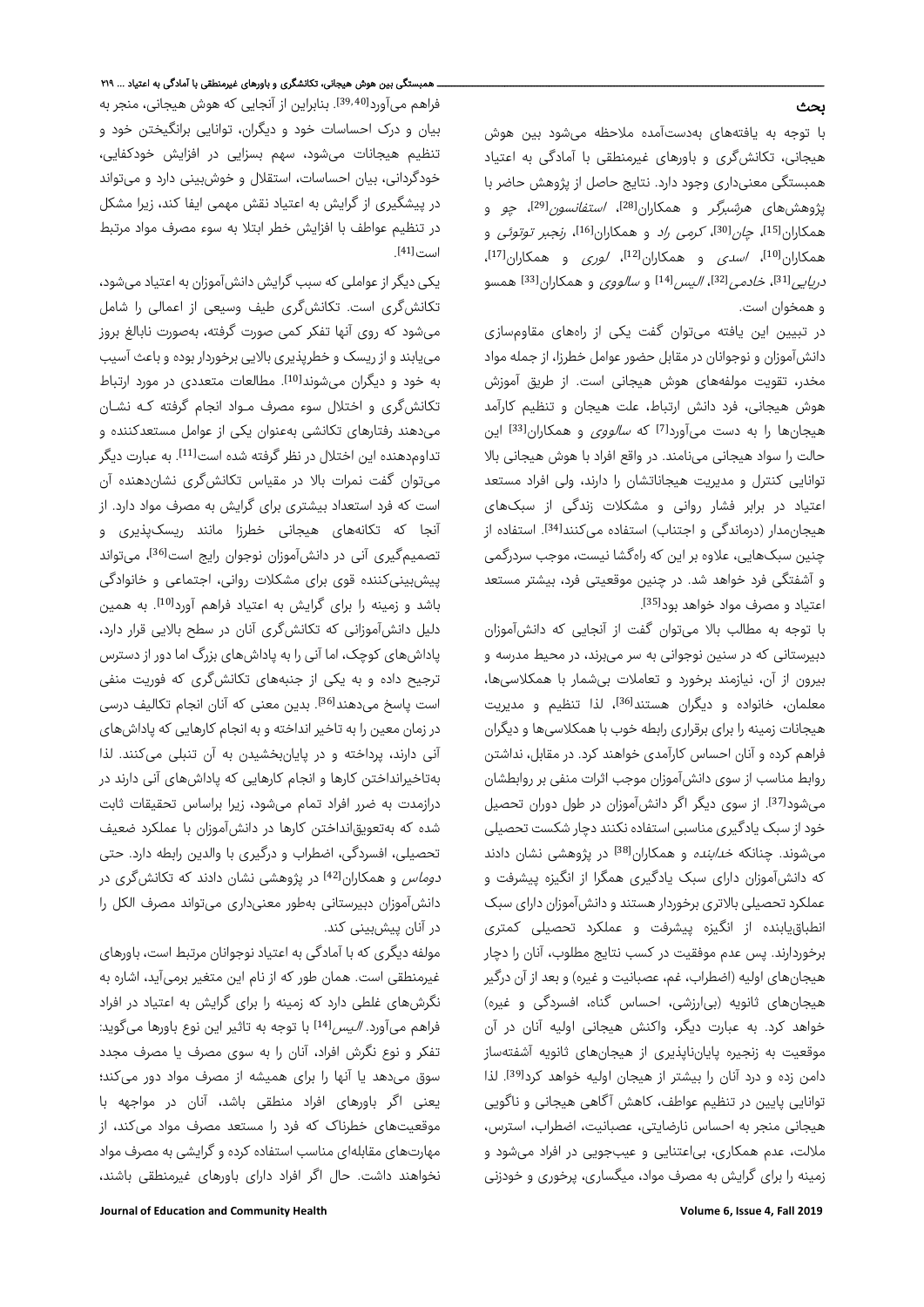### بحث

با توجه به یافتههای بهدستآمده ملاحظه میشود بین هوش هیجانی، تکانشگری و باورهای غیرمنطقی با آمادگی به اعتیاد همبستگی معنیداری وجود دارد. نتایج حاصل از پژوهش حاضر با یژوهشهای *هرشبرگر* و همکاران<sup>[28]</sup>، *استفانسون<sup>[29]</sup>، چو* و همکاران<sup>[15]</sup>، *چان*<sup>[30]</sup>، *کرمی راد* و همکاران<sup>[16]</sup>، *رنجبر توتوئی* و ، همکاران<sup>[10]</sup>، *اسدی* و همکاران<sup>[12]</sup>، *لوری* و همکاران<sup>[17]</sup> در*یایی [*31]، *خادمی [*32]، *الیس [*14] و *سالووی* و همکاران<sup>[33]</sup> همسو و همخوان است.

در تبیین این یافته میتوان گفت یکی از راههای مقاومسازی دانشآموزان و نوجوانان در مقابل حضور عوامل خطرزا، از جمله مواد مخدر، تقویت مولفههای هوش هیجانی است. از طریق آموزش هوش هیجانی، فرد دانش ارتباط، علت هیجان و تنظیم کارآمد هیجانها را به دست میآورد<sup>[7]</sup> که *سالووی* و همکاران<sup>[33]</sup> این حالت را سواد هیجانی مینامند. در واقع افراد با هوش هیجانی بالا توانایی کنترل و مدیریت هیجاناتشان را دارند، ولی افراد مستعد اعتیاد در برابر فشار روانی و مشکلات زندگی از سبکهای هیجانمدار (درماندگی و اجتناب) استفاده میکنند[34]. استفاده از چنین سبکهایی، علاوه بر این که راهگشا نیست، موجب سردرگمی و آشفتگی فرد خواهد شد. در چنین موقعیتی فرد، بیشتر مستعد اعتیاد و مصرف مواد خواهد بود<sup>[35]</sup>.

با توجه به مطالب بالا میتوان گفت از آنجایی که دانشآموزان دبیرستانی که در سنین نوجوانی به سر میبرند، در محیط مدرسه و بیرون از آن، نیازمند برخورد و تعاملات بیشمار با همکلاسیها، معلمان، خانواده و دیگران هستند<sup>[36]</sup>، لذا تنظیم و مدیریت هیجانات زمینه را برای برقراری رابطه خوب با همکلاسیها و دیگران فراهم کرده و آنان احساس کارآمدی خواهند کرد. در مقابل، نداشتن روابط مناسب از سوی دانشآموزان موجب اثرات منفی بر روابطشان میشود<sup>[37]</sup>. از سوی دیگر اگر دانش آموزان در طول دوران تحصیل خود از سبک یادگیری مناسبی استفاده نکننددچار شکست تحصیلی میشوند. چنانکه *خدابنده* و همکاران<sup>[38]</sup> در پژوهشی نشان دادند که دانشآموزان دارای سبک یادگیری همگرا از انگیزه پیشرفت و عملکرد تحصیلی بالاتری برخوردار هستندو دانشآموزان دارای سبک انطباقیابنده از انگیزه پیشرفت و عملکرد تحصیلی کمتری برخوردارند. پس عدم موفقیت در کسب نتایج مطلوب، آنان را دچار هیجانهای اولیه (اضطراب، غم، عصبانیت و غیره) و بعد از آن درگیر هیجانهای ثانویه (بیارزشی، احساس گناه، افسردگی و غیره) خواهد کرد. به عبارت دیگر، واکنش هیجانی اولیه آنان در آن موقعیت به زنجیره پایانناپذیری از هیجانهای ثانویه آشفتهساز دامن زده و درد آنان را بیشتر از هیجان اولیه خواهد کرد<sup>[39]</sup>. لذا توانایی پایین در تنظیم عواطف، کاهش آگاهی هیجانی و ناگویی هیجانی منجر به احساس نارضایتی، عصبانیت، اضطراب، استرس، ملالت، عدم همکاری، بیاعتنایی و عیبجویی در افراد میشود و زمینه را برای گرایش به مصرف مواد، میگساری، پرخوری و خودزنی

ـــــــــــــــــــــــــــــــــــــــــــــــــــــــــــــــــــــــــــــــــــــــــــــــــــــــــــــــــــــــــــــــــــ همبستگی بین هوش هیجانی، تکانشگر ی و باورهای غیرمنطقی با آمادگی به اعتیاد ... ۲۱۹ فراهم میآورد<sup>39,40</sup>1]. بنابراین از آنجایی که هوش هیجانی، منجر به بیان و درک احساسات خود و دیگران، توانایی برانگیختن خود و تنظیم هیجانات میشود، سهم بسزایی در افزایش خودکفایی، خودگردانی، بیان احساسات، استقلال و خوشبینی دارد و میتواند در پیشگیری از گرایش به اعتیاد نقش مهمی ایفا کند، زیرا مشکل در تنظیم عواطف با افزایش خطر ابتلا به سوء مصرف مواد مرتبط . [41] است

یکی دیگر از عواملی که سبب گرایش دانشآموزان به اعتیادمیشود، تکانشگری است. تکانشگری طیف وسیعی از اعمالی را شامل میشود که روی آنها تفکر کمی صورت گرفته، بهصورت نابالغ بروز مییابندو از ریسک و خطرپذیری بالایی برخوردار بوده و باعث آسیب به خود و دیگران میشوند<sup>[10]</sup>. مطالعات متعددی در مورد ارتباط تکانشگری و اختلال سوء مصرف مـواد انجام گرفته کـه نشـان میدهند رفتارهای تکانشی بهعنوان یکی از عوامل مستعدکننده و تداومدهنده این اختلال در نظر گرفته شده است<sup>[11]</sup>. به عبارت دیگر میتوان گفت نمرات بالا در مقیاس تکانشگری نشاندهنده آن است که فرد استعداد بیشتری برای گرایش به مصرف مواد دارد. از آنجا که تکانههای هیجانی خطرزا مانند ریسکپذیری و تصمیمگیری آنی در دانشآموزان نوجوان رایج است<sup>[36]</sup>، میتواند پیشبینیکننده قوی برای مشکلات روانی، اجتماعی و خانوادگی باشد و زمینه را برای گرایش به اعتیاد فراهم آورد<sup>[10]</sup>. به همین دلیل دانشآموزانی که تکانشگری آنان در سطح بالایی قرار دارد، پاداشهای کوچک، اما آنی را به پاداشهای بزرگ اما دور از دسترس ترجیح داده و به یکی از جنبههای تکانشگری که فوریت منفی است یاسخ میدهند<sup>[36]</sup>. بدین معنی که آنان انجام تکالیف درسی در زمان معین را به تاخیر انداخته و به انجام کارهایی که پاداشهای آنی دارند، پرداخته و در پایانبخشیدن به آن تنبلی میکنند. لذا بهتاخیرانداختن کارها و انجام کارهایی که پاداشهای آنی دارند در درازمدت به ضرر افراد تمام میشود، زیرا براساس تحقیقات ثابت شده که بهتعویقانداختن کارها در دانشآموزان با عملکرد ضعیف تحصیلی، افسردگی، اضطراب و درگیری با والدین رابطه دارد. حتی د*وماس* و همکاران<sup>[42]</sup> در پژوهشی نشان دادند که تکانشگری در دانشآموزان دبیرستانی بهطور معنیداری میتواند مصرف الکل را در آنان پیشبینی کند.

مولفه دیگری که با آمادگی به اعتیاد نوجوانان مرتبط است، باورهای غیرمنطقی است. همان طور که از نام این متغیر برمیآید، اشاره به نگرشهای غلطی دارد که زمینه را برای گرایش به اعتیاد در افراد فراهم می آورد. *الیس ا<sup>14]</sup> ب*ا توجه به تاثیر این نوع باورها میگوید: تفکر و نوع نگرش افراد، آنان را به سوی مصرف یا مصرف مجدد سوق میدهد یا آنها را برای همیشه از مصرف مواد دور میکند؛ یعنی اگر باورهای افراد منطقی باشد، آنان در مواجهه با موقعیتهای خطرناک که فرد را مستعد مصرف مواد میکند، از مهارتهای مقابلهای مناسب استفاده کرده و گرایشی به مصرف مواد نخواهند داشت. حال اگر افراد دارای باورهای غیرمنطقی باشند،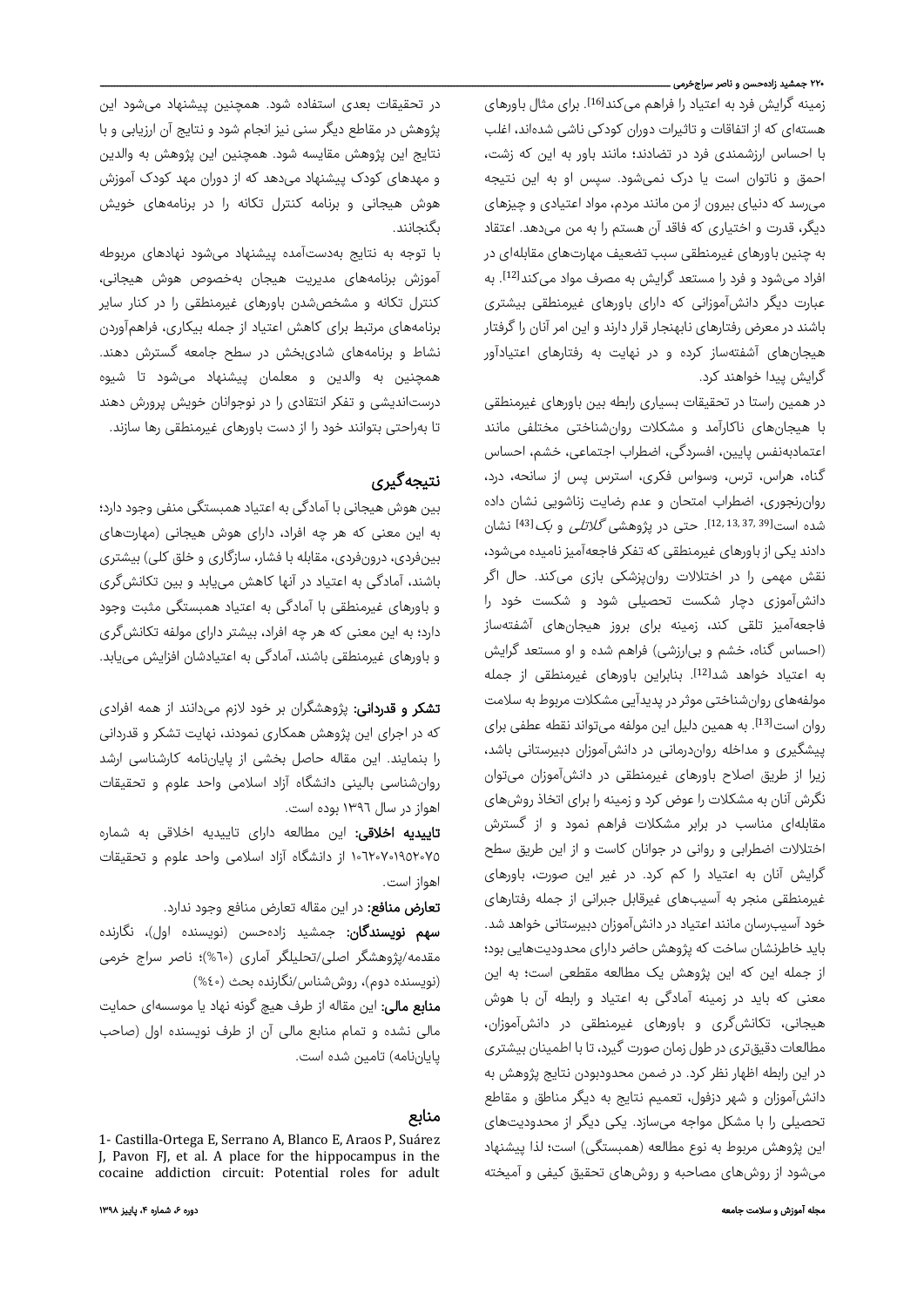### ۲۲۰ جمشید زادهحسن و ناصر سرا<u>ج</u>خرمی ــــ

زمینه گرایش فرد به اعتیاد را فراهم میکند<sup>161</sup>ا. برای مثال باورهای هستهای که از اتفاقات و تاثیرات دوران کودکی ناشی شدهاند، اغلب با احساس ارزشمندی فرد در تضادند؛ مانند باور به این که زشت، احمق و ناتوان است یا درک نمیشود. سپس او به این نتیجه میرسد که دنیای بیرون از من مانند مردم، مواد اعتیادی و چیزهای دیگر، قدرت و اختیاری که فاقد آن هستم را به من میدهد. اعتقاد به چنین باورهای غیرمنطقی سبب تضعیف مهارتهای مقابلهای در افراد میشود و فرد را مستعد گرایش به مصرف مواد میکند<sup>[12]</sup>. به عبارت دیگر دانشآموزانی که دارای باورهای غیرمنطقی بیشتری باشند در معرض رفتارهای نابهنجار قرار دارند و این امر آنان را گرفتار هیجانهای آشفتهساز کرده و در نهایت به رفتارهای اعتیادآور گرایش پیدا خواهند کرد.

در همین راستا در تحقیقات بسیاری رابطه بین باورهای غیرمنطقی با هیجانهای ناکارآمد و مشکلات روانشناختی مختلفی مانند اعتمادبهنفس پایین، افسردگی، اضطراب اجتماعی، خشم، احساس گناه، هراس، ترس، وسواس فکری، استرس پس از سانحه، درد، روانرنجوری، اضطراب امتحان و عدم رضایت زناشویی نشان داده شده است[39 37, 13, 12,]. حتی در پژوهشی گلاتلی و بک[43] نشان دادند یکی از باورهای غیرمنطقی که تفکر فاجعهآمیز نامیدهمیشود، نقش مهمی را در اختلالات روانپزشکی بازی میکند. حال اگر دانشآموزی دچار شکست تحصیلی شود و شکست خود را فاجعهآمیز تلقی کند، زمینه برای بروز هیجانهای آشفتهساز (احساس گناه، خشم و بیارزشی) فراهم شده و او مستعد گرایش به اعتیاد خواهد شد<sup>[12]</sup>. بنابراین باورهای غیرمنطقی از جمله مولفههای روانشناختی موثر در پدیدآیی مشکلات مربوط به سلامت روان است<sup>[13]</sup>. به همین دلیل این مولفه میتواند نقطه عطفی برای پیشگیری و مداخله رواندرمانی در دانشآموزان دبیرستانی باشد، زیرا از طریق اصلاح باورهای غیرمنطقی در دانشآموزان میتوان نگرش آنان به مشکلات را عوض کرد و زمینه را برای اتخاذ روشهای مقابلهای مناسب در برابر مشکلات فراهم نمود و از گسترش اختلالات اضطرابی و روانی در جوانان کاست و از این طریق سطح گرایش آنان به اعتیاد را کم کرد. در غیر این صورت، باورهای غیرمنطقی منجر به آسیبهای غیرقابل جبرانی از جمله رفتارهای خود آسیبرسان مانند اعتیاد در دانشآموزان دبیرستانی خواهد شد. باید خاطرنشان ساخت که پژوهش حاضر دارای محدودیتهایی بود؛ از جمله این که این پژوهش یک مطالعه مقطعی است؛ به این معنی که باید در زمینه آمادگی به اعتیاد و رابطه آن با هوش هیجانی، تکانشگری و باورهای غیرمنطقی در دانشآموزان، مطالعات دقیقتری در طول زمان صورت گیرد، تا با اطمینان بیشتری در این رابطه اظهار نظر کرد. در ضمن محدودبودن نتایج پژوهش به دانشآموزان و شهر دزفول، تعمیم نتایج به دیگر مناطق و مقاطع تحصیلی را با مشکل مواجه میسازد. یکی دیگر از محدودیتهای این پژوهش مربوط به نوع مطالعه (همبستگی) است؛ لذا پیشنهاد میشود از روشهای مصاحبه و روشهای تحقیق کیفی و آمیخته

در تحقیقات بعدی استفاده شود. همچنین پیشنهاد میشود این پژوهش در مقاطع دیگر سنی نیز انجام شود و نتایج آن ارزیابی و با نتایج این پژوهش مقایسه شود. همچنین این پژوهش به والدین و مهدهای کودک پیشنهاد میدهد که از دوران مهد کودک آموزش هوش هیجانی و برنامه کنترل تکانه را در برنامههای خویش بگنجانند.

با توجه به نتایج بهدستآمده پیشنهاد میشود نهادهای مربوطه آموزش برنامههای مدیریت هیجان بهخصوص هوش هیجانی، کنترل تکانه و مشخصشدن باورهای غیرمنطقی را در کنار سایر برنامههای مرتبط برای کاهش اعتیاد از جمله بیکاری، فراهمآوردن نشاط و برنامههای شادیبخش در سطح جامعه گسترش دهند. همچنین به والدین و معلمان پیشنهاد میشود تا شیوه درستاندیشی و تفکر انتقادی را در نوجوانان خویش پرورش دهند تا بهراحتی بتوانند خود را از دست باورهای غیرمنطقی رها سازند.

# نتیجهگیری

بین هوش هیجانی با آمادگی به اعتیاد همبستگی منفی وجود دارد؛ به این معنی که هر چه افراد، دارای هوش هیجانی (مهارتهای بینفردی، درونفردی، مقابله با فشار، سازگاری و خلق کلی) بیشتری باشند، آمادگی به اعتیاد در آنها کاهش مییابد و بین تکانشگری و باورهای غیرمنطقی با آمادگی به اعتیاد همبستگی مثبت وجود دارد؛ به این معنی که هر چه افراد، بیشتر دارای مولفه تکانشگری و باورهای غیرمنطقی باشند، آمادگی به اعتیادشان افزایش مییابد.

**تشکر و قدردانی:** پژوهشگران بر خود لازم میٖدانند از همه افرادی که در اجرای این پژوهش همکاری نمودند، نهایت تشکر و قدردانی را بنمایند. این مقاله حاصل بخشی از پایاننامه کارشناسی ارشد روانشناسی بالینی دانشگاه آزاد اسلامی واحد علوم و تحقیقات اهواز در سال ١٣٩٦ بوده است.

تاییدیه اخلاقی: این مطالعه دارای تاییدیه اخلاقی به شماره ١٠٦٢٠٧٠١٩٥٢٠٧٥ از دانشگاه آزاد اسلامی واحد علوم و تحقیقات اهواز است.

تعارض منافع: در این مقاله تعارض منافع وجود ندارد.

سهم نویسندگان: جمشید زادهحسن (نویسنده اول)، نگارنده مقدمه/پژوهشگر اصلی/تحلیلگر آماری (%٦٠)؛ ناصر سراج خرمی (نویسنده دوم)، روششناس/نگارنده بحث (%٤٠)

م**نابع مالی:** این مقاله از طرف هیچ گونه نهاد یا موسسهای حمایت مالی نشده و تمام منابع مالی آن از طرف نویسنده اول (صاحب پایاننامه) تامین شده است.

### منابع

1- Castilla-Ortega E, Serrano A, Blanco E, Araos P, Suárez J, Pavon FJ, et al. A place for the hippocampus in the cocaine addiction circuit: Potential roles for adult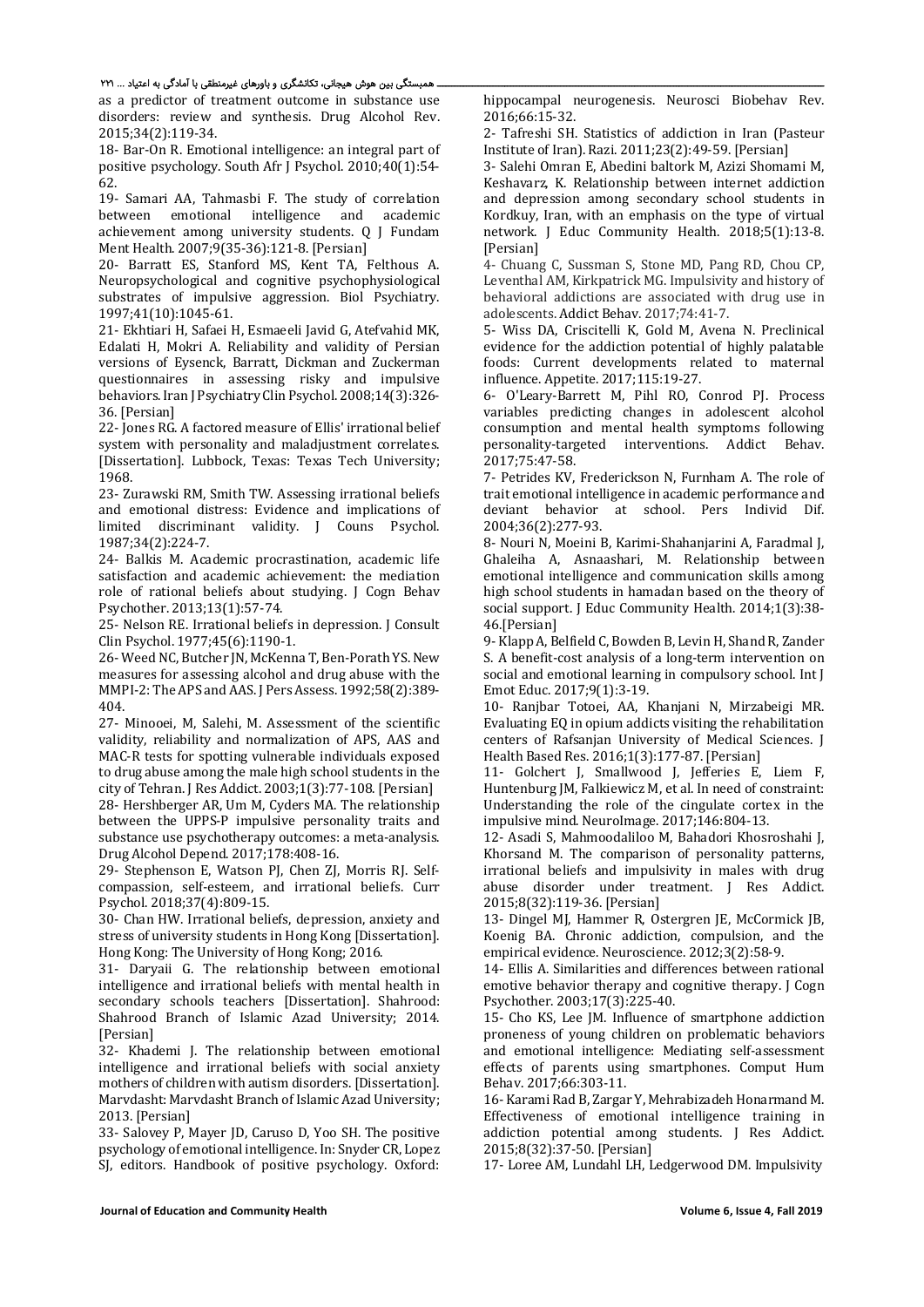#### ـــــــــــــــــــــــــــــــــــــــــــــــــــــــــــــــــــــــــــــــــــــــــــــــــــــــــــــــــــــــــــــــــــ همبستگی بین هوش هیجانی، تکانشگر ی و باورهای غیرمنطقی با آمادگی به اعتیاد ... ۲۲۱

as a predictor of treatment outcome in substance use disorders: review and synthesis. Drug Alcohol Rev. 2015;34(2):119‐34. 

18– Bar-On R. Emotional intelligence: an integral part of positive psychology. South Afr J Psychol. 2010;40(1):54-62. 

19- Samari AA, Tahmasbi F. The study of correlation between emotional intelligence and academic achievement among university students. O I Fundam Ment Health. 2007;9(35-36):121-8. [Persian]

20- Barratt ES, Stanford MS, Kent TA, Felthous A. Neuropsychological and cognitive psychophysiological substrates of impulsive aggression. Biol Psychiatry. 1997;41(10):1045‐61. 

21- Ekhtiari H, Safaei H, Esmaeeli Javid G, Atefvahid MK, Edalati H, Mokri A. Reliability and validity of Persian versions of Eysenck, Barratt, Dickman and Zuckerman questionnaires in assessing risky and impulsive behaviors. Iran J Psychiatry Clin Psychol. 2008;14(3):326-36. [Persian] 

22- Jones RG. A factored measure of Ellis' irrational belief system with personality and maladjustment correlates. [Dissertation]. Lubbock, Texas: Texas Tech University; 1968. 

23- Zurawski RM, Smith TW, Assessing irrational beliefs and emotional distress: Evidence and implications of limited discriminant validity. J Couns Psychol. 1987;34(2):224‐7. 

24- Balkis M. Academic procrastination, academic life satisfaction and academic achievement: the mediation role of rational beliefs about studying. J Cogn Behav Psychother. 2013;13(1):57‐74. 

25- Nelson RE. Irrational beliefs in depression. J Consult Clin Psychol. 1977;45(6):1190‐1. 

26- Weed NC, Butcher JN, McKenna T, Ben-Porath YS. New measures for assessing alcohol and drug abuse with the MMPI-2: The APS and AAS. J Pers Assess. 1992;58(2):389-404. 

27- Minooei, M, Salehi, M. Assessment of the scientific validity, reliability and normalization of APS, AAS and MAC-R tests for spotting vulnerable individuals exposed to drug abuse among the male high school students in the city of Tehran. J Res Addict.  $2003;1(3):77-108$ . [Persian]

28- Hershberger AR, Um M, Cyders MA. The relationship between the UPPS-P impulsive personality traits and substance use psychotherapy outcomes: a meta-analysis. Drug Alcohol Depend. 2017;178:408‐16. 

29- Stephenson E, Watson PJ, Chen ZJ, Morris RJ. Selfcompassion, self-esteem, and irrational beliefs. Curr Psychol. 2018;37(4):809‐15. 

30- Chan HW. Irrational beliefs, depression, anxiety and stress of university students in Hong Kong [Dissertation]. Hong Kong: The University of Hong Kong; 2016.

31- Daryaii G. The relationship between emotional intelligence and irrational beliefs with mental health in secondary schools teachers [Dissertation]. Shahrood: Shahrood Branch of Islamic Azad University; 2014. [Persian] 

32- Khademi J. The relationship between emotional intelligence and irrational beliefs with social anxiety mothers of children with autism disorders. [Dissertation]. Marvdasht: Marvdasht Branch of Islamic Azad University; 2013. [Persian]

33- Salovey P. Mayer ID. Caruso D. Yoo SH. The positive psychology of emotional intelligence. In: Snyder CR, Lopez SJ, editors. Handbook of positive psychology. Oxford:  hippocampal neurogenesis. Neurosci Biobehav Rev. 2016;66:15‐32. 

2- Tafreshi SH. Statistics of addiction in Iran (Pasteur Institute of Iran). Razi. 2011;23(2):49-59. [Persian]

3- Salehi Omran E, Abedini baltork M, Azizi Shomami M, Keshavarz, K. Relationship between internet addiction and depression among secondary school students in Kordkuy, Iran, with an emphasis on the type of virtual network. I Educ Community Health. 2018;5(1):13-8. [Persian]

4- Chuang C, Sussman S, Stone MD, Pang RD, Chou CP, Leventhal AM, Kirkpatrick MG. Impulsivity and history of behavioral addictions are associated with drug use in adolescents. Addict Behav. 2017;74:41-7.

5- Wiss DA, Criscitelli K, Gold M, Avena N. Preclinical evidence for the addiction potential of highly palatable foods: Current developments related to maternal influence. Appetite. 2017;115:19‐27. 

6‐ O'Leary‐Barrett M, Pihl RO, Conrod PJ. Process variables predicting changes in adolescent alcohol consumption and mental health symptoms following personality-targeted interventions. Addict Behav. 2017;75:47‐58. 

7- Petrides KV, Frederickson N, Furnham A. The role of trait emotional intelligence in academic performance and deviant behavior at school. Pers Individ Dif. 2004;36(2):277‐93. 

8- Nouri N, Moeini B, Karimi-Shahanjarini A, Faradmal J, Ghaleiha A, Asnaashari, M. Relationship between emotional intelligence and communication skills among high school students in hamadan based on the theory of social support. J Educ Community Health. 2014;1(3):38-46.[Persian] 

9- Klapp A, Belfield C, Bowden B, Levin H, Shand R, Zander S. A benefit-cost analysis of a long-term intervention on social and emotional learning in compulsory school. Int J Emot Educ. 2017;9(1):3-19.

10- Ranjbar Totoei, AA, Khanjani N, Mirzabeigi MR. Evaluating EQ in opium addicts visiting the rehabilitation centers of Rafsanjan University of Medical Sciences. J Health Based Res. 2016;1(3):177-87. [Persian]

11- Golchert J, Smallwood J, Jefferies E, Liem F, Huntenburg JM, Falkiewicz M, et al. In need of constraint: Understanding the role of the cingulate cortex in the impulsive mind. NeuroImage. 2017;146:804-13.

12- Asadi S, Mahmoodaliloo M, Bahadori Khosroshahi J, Khorsand M. The comparison of personality patterns, irrational beliefs and impulsivity in males with drug abuse disorder under treatment. J Res Addict. 2015;8(32):119‐36. [Persian]

13- Dingel MJ, Hammer R, Ostergren JE, McCormick JB, Koenig BA. Chronic addiction, compulsion, and the empirical evidence. Neuroscience. 2012;3(2):58-9.

14- Ellis A. Similarities and differences between rational emotive behavior therapy and cognitive therapy. I Cogn Psychother. 2003;17(3):225‐40. 

15- Cho KS, Lee JM. Influence of smartphone addiction proneness of young children on problematic behaviors and emotional intelligence: Mediating self-assessment effects of parents using smartphones. Comput Hum Behav. 2017;66:303‐11. 

16 - Karami Rad B, Zargar Y, Mehrabizadeh Honarmand M. Effectiveness of emotional intelligence training in addiction potential among students. I Res Addict. 2015;8(32):37‐50. [Persian] 

17‐ Loree AM, Lundahl LH, Ledgerwood DM. Impulsivity